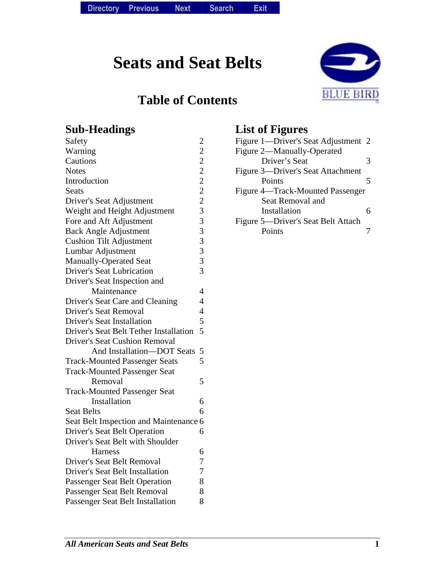# **Seats and Seat Belts**

### **Table of Contents**



#### **Sub-Headings**

| Safety                                 |                |
|----------------------------------------|----------------|
| Warning                                | 22222233333    |
| Cautions                               |                |
| <b>Notes</b>                           |                |
| Introduction                           |                |
| Seats                                  |                |
| Driver's Seat Adjustment               |                |
| Weight and Height Adjustment           |                |
| Fore and Aft Adjustment                |                |
| <b>Back Angle Adjustment</b>           |                |
| <b>Cushion Tilt Adjustment</b>         |                |
| Lumbar Adjustment                      |                |
| <b>Manually-Operated Seat</b>          |                |
| <b>Driver's Seat Lubrication</b>       | $\overline{3}$ |
| Driver's Seat Inspection and           |                |
| Maintenance                            | 4              |
| Driver's Seat Care and Cleaning        | $\overline{4}$ |
| <b>Driver's Seat Removal</b>           | $\overline{4}$ |
| <b>Driver's Seat Installation</b>      | 5              |
| Driver's Seat Belt Tether Installation | 5              |
| <b>Driver's Seat Cushion Removal</b>   |                |
| And Installation-DOT Seats             | 5              |
| <b>Track-Mounted Passenger Seats</b>   | 5              |
| <b>Track-Mounted Passenger Seat</b>    |                |
| Removal                                | 5              |
| <b>Track-Mounted Passenger Seat</b>    |                |
| Installation                           | 6              |
| <b>Seat Belts</b>                      | 6              |
| Seat Belt Inspection and Maintenance 6 |                |
| <b>Driver's Seat Belt Operation</b>    | 6              |
| Driver's Seat Belt with Shoulder       |                |
| <b>Harness</b>                         | 6              |
| Driver's Seat Belt Removal             | 7              |
| <b>Driver's Seat Belt Installation</b> | 7              |
| <b>Passenger Seat Belt Operation</b>   | 8              |
| Passenger Seat Belt Removal            | 8              |
| Passenger Seat Belt Installation       | 8              |
|                                        |                |

#### **List of Figures**

| Figure 1—Driver's Seat Adjustment 2 |   |
|-------------------------------------|---|
| Figure 2—Manually-Operated          |   |
| Driver's Seat                       | 3 |
| Figure 3-Driver's Seat Attachment   |   |
| Points                              |   |
| Figure 4—Track-Mounted Passenger    |   |
| Seat Removal and                    |   |
| Installation                        |   |
| Figure 5—Driver's Seat Belt Attach  |   |
| Points                              |   |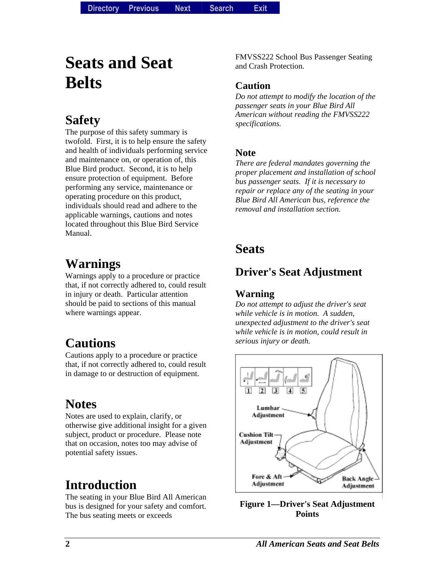**Directory Directory Previous** *Previous* **Next Search** *Search***Exit** *Exit*

# **Seats and Seat Belts**

## **Safety**

The purpose of this safety summary is twofold. First, it is to help ensure the safety and health of individuals performing service and maintenance on, or operation of, this Blue Bird product. Second, it is to help ensure protection of equipment. Before performing any service, maintenance or operating procedure on this product, individuals should read and adhere to the applicable warnings, cautions and notes located throughout this Blue Bird Service Manual.

# **Warnings**

Warnings apply to a procedure or practice that, if not correctly adhered to, could result in injury or death. Particular attention should be paid to sections of this manual where warnings appear.

# **Cautions**

Cautions apply to a procedure or practice that, if not correctly adhered to, could result in damage to or destruction of equipment.

# **Notes**

Notes are used to explain, clarify, or otherwise give additional insight for a given subject, product or procedure. Please note that on occasion, notes too may advise of potential safety issues.

# **Introduction**

The seating in your Blue Bird All American bus is designed for your safety and comfort. The bus seating meets or exceeds

FMVSS222 School Bus Passenger Seating and Crash Protection.

#### **Caution**

*Do not attempt to modify the location of the passenger seats in your Blue Bird All American without reading the FMVSS222 specifications.* 

#### **Note**

*There are federal mandates governing the proper placement and installation of school bus passenger seats. If it is necessary to repair or replace any of the seating in your Blue Bird All American bus, reference the removal and installation section.* 

#### **Seats**

#### **Driver's Seat Adjustment**

#### **Warning**

*Do not attempt to adjust the driver's seat while vehicle is in motion. A sudden, unexpected adjustment to the driver's seat while vehicle is in motion, could result in serious injury or death.* 



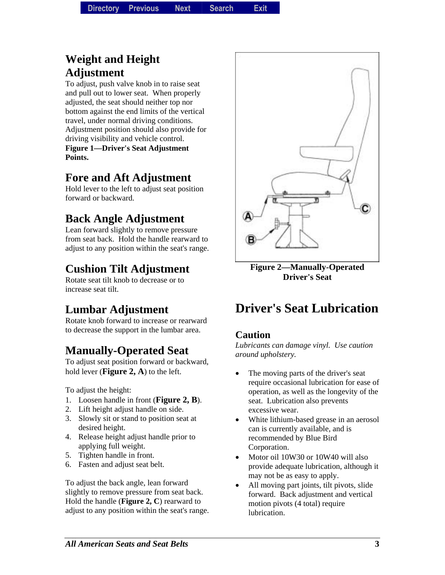#### **Weight and Height Adjustment**

To adjust, push valve knob in to raise seat and pull out to lower seat. When properly adjusted, the seat should neither top nor bottom against the end limits of the vertical travel, under normal driving conditions. Adjustment position should also provide for driving visibility and vehicle control. **Figure 1—Driver's Seat Adjustment Points.** 

#### **Fore and Aft Adjustment**

Hold lever to the left to adjust seat position forward or backward.

### **Back Angle Adjustment**

Lean forward slightly to remove pressure from seat back. Hold the handle rearward to adjust to any position within the seat's range.

### **Cushion Tilt Adjustment**

Rotate seat tilt knob to decrease or to increase seat tilt.

### **Lumbar Adjustment**

Rotate knob forward to increase or rearward to decrease the support in the lumbar area.

### **Manually-Operated Seat**

To adjust seat position forward or backward, hold lever (**Figure 2, A**) to the left.

To adjust the height:

- 1. Loosen handle in front (**Figure 2, B**).
- 2. Lift height adjust handle on side.
- 3. Slowly sit or stand to position seat at desired height.
- 4. Release height adjust handle prior to applying full weight.
- 5. Tighten handle in front.
- 6. Fasten and adjust seat belt.

To adjust the back angle, lean forward slightly to remove pressure from seat back. Hold the handle (**Figure 2, C**) rearward to adjust to any position within the seat's range.



**Figure 2—Manually-Operated Driver's Seat** 

# **Driver's Seat Lubrication**

#### **Caution**

*Lubricants can damage vinyl. Use caution around upholstery.* 

- The moving parts of the driver's seat require occasional lubrication for ease of operation, as well as the longevity of the seat. Lubrication also prevents excessive wear.
- White lithium-based grease in an aerosol can is currently available, and is recommended by Blue Bird Corporation.
- Motor oil 10W30 or 10W40 will also provide adequate lubrication, although it may not be as easy to apply.
- All moving part joints, tilt pivots, slide forward. Back adjustment and vertical motion pivots (4 total) require lubrication.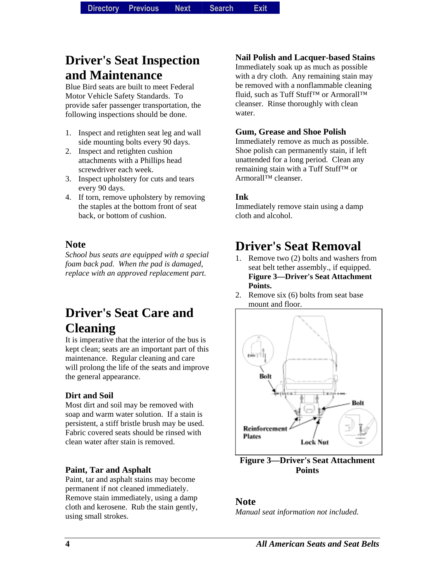### **Driver's Seat Inspection and Maintenance**

Blue Bird seats are built to meet Federal Motor Vehicle Safety Standards. To provide safer passenger transportation, the following inspections should be done.

- 1. Inspect and retighten seat leg and wall side mounting bolts every 90 days.
- 2. Inspect and retighten cushion attachments with a Phillips head screwdriver each week.
- 3. Inspect upholstery for cuts and tears every 90 days.
- 4. If torn, remove upholstery by removing the staples at the bottom front of seat back, or bottom of cushion.

#### **Note**

*School bus seats are equipped with a special foam back pad. When the pad is damaged, replace with an approved replacement part.* 

#### **Driver's Seat Care and Cleaning**

It is imperative that the interior of the bus is kept clean; seats are an important part of this maintenance. Regular cleaning and care will prolong the life of the seats and improve the general appearance.

#### **Dirt and Soil**

Most dirt and soil may be removed with soap and warm water solution. If a stain is persistent, a stiff bristle brush may be used. Fabric covered seats should be rinsed with clean water after stain is removed.

#### **Paint, Tar and Asphalt**

Paint, tar and asphalt stains may become permanent if not cleaned immediately. Remove stain immediately, using a damp cloth and kerosene. Rub the stain gently, using small strokes.

#### **Nail Polish and Lacquer-based Stains**

Immediately soak up as much as possible with a dry cloth. Any remaining stain may be removed with a nonflammable cleaning fluid, such as Tuff Stuff<sup>™</sup> or Armorall™ cleanser. Rinse thoroughly with clean water.

#### **Gum, Grease and Shoe Polish**

Immediately remove as much as possible. Shoe polish can permanently stain, if left unattended for a long period. Clean any remaining stain with a Tuff Stuff™ or Armorall™ cleanser.

#### **Ink**

Immediately remove stain using a damp cloth and alcohol.

### **Driver's Seat Removal**

- 1. Remove two (2) bolts and washers from seat belt tether assembly., if equipped. **Figure 3—Driver's Seat Attachment Points.**
- 2. Remove six (6) bolts from seat base mount and floor.



**Figure 3—Driver's Seat Attachment Points** 

#### **Note**

*Manual seat information not included.*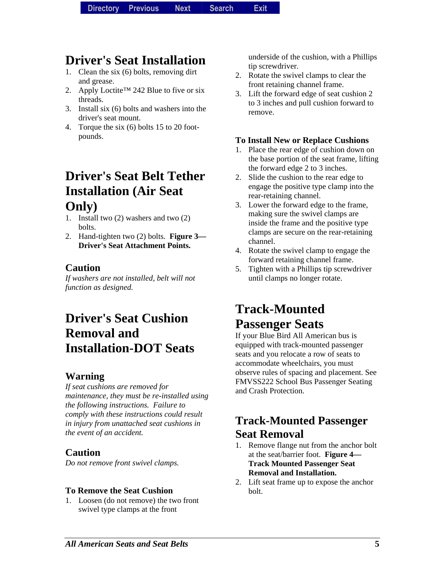# **Driver's Seat Installation**

- 1. Clean the six (6) bolts, removing dirt and grease.
- 2. Apply Loctite™ 242 Blue to five or six threads.
- 3. Install six (6) bolts and washers into the driver's seat mount.
- 4. Torque the six (6) bolts 15 to 20 footpounds.

#### **Driver's Seat Belt Tether Installation (Air Seat Only)**

- 1. Install two (2) washers and two (2) bolts.
- 2. Hand-tighten two (2) bolts. **Figure 3— Driver's Seat Attachment Points.**

#### **Caution**

*If washers are not installed, belt will not function as designed.* 

### **Driver's Seat Cushion Removal and Installation-DOT Seats**

#### **Warning**

*If seat cushions are removed for maintenance, they must be re-installed using the following instructions. Failure to comply with these instructions could result in injury from unattached seat cushions in the event of an accident.* 

#### **Caution**

*Do not remove front swivel clamps.* 

#### **To Remove the Seat Cushion**

1. Loosen (do not remove) the two front swivel type clamps at the front

underside of the cushion, with a Phillips tip screwdriver.

- 2. Rotate the swivel clamps to clear the front retaining channel frame.
- 3. Lift the forward edge of seat cushion 2 to 3 inches and pull cushion forward to remove.

#### **To Install New or Replace Cushions**

- 1. Place the rear edge of cushion down on the base portion of the seat frame, lifting the forward edge 2 to 3 inches.
- 2. Slide the cushion to the rear edge to engage the positive type clamp into the rear-retaining channel.
- 3. Lower the forward edge to the frame, making sure the swivel clamps are inside the frame and the positive type clamps are secure on the rear-retaining channel.
- 4. Rotate the swivel clamp to engage the forward retaining channel frame.
- 5. Tighten with a Phillips tip screwdriver until clamps no longer rotate.

## **Track-Mounted Passenger Seats**

If your Blue Bird All American bus is equipped with track-mounted passenger seats and you relocate a row of seats to accommodate wheelchairs, you must observe rules of spacing and placement. See FMVSS222 School Bus Passenger Seating and Crash Protection.

#### **Track-Mounted Passenger Seat Removal**

- 1. Remove flange nut from the anchor bolt at the seat/barrier foot. **Figure 4— Track Mounted Passenger Seat Removal and Installation.**
- 2. Lift seat frame up to expose the anchor bolt.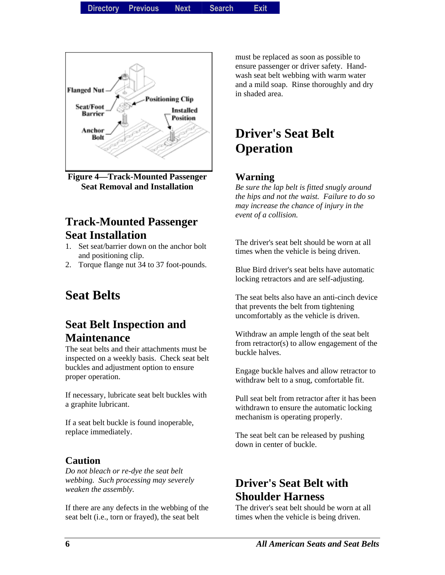**Directory Directory Previous** *Previous* **Next Search** *Search***Exit** *Exit*



**Figure 4—Track-Mounted Passenger Seat Removal and Installation** 

#### **Track-Mounted Passenger Seat Installation**

- 1. Set seat/barrier down on the anchor bolt and positioning clip.
- 2. Torque flange nut 34 to 37 foot-pounds.

### **Seat Belts**

#### **Seat Belt Inspection and Maintenance**

The seat belts and their attachments must be inspected on a weekly basis. Check seat belt buckles and adjustment option to ensure proper operation.

If necessary, lubricate seat belt buckles with a graphite lubricant.

If a seat belt buckle is found inoperable, replace immediately.

#### **Caution**

*Do not bleach or re-dye the seat belt webbing. Such processing may severely weaken the assembly.* 

If there are any defects in the webbing of the seat belt (i.e., torn or frayed), the seat belt

must be replaced as soon as possible to ensure passenger or driver safety. Handwash seat belt webbing with warm water and a mild soap. Rinse thoroughly and dry in shaded area.

# **Driver's Seat Belt Operation**

#### **Warning**

*Be sure the lap belt is fitted snugly around the hips and not the waist. Failure to do so may increase the chance of injury in the event of a collision.* 

The driver's seat belt should be worn at all times when the vehicle is being driven.

Blue Bird driver's seat belts have automatic locking retractors and are self-adjusting.

The seat belts also have an anti-cinch device that prevents the belt from tightening uncomfortably as the vehicle is driven.

Withdraw an ample length of the seat belt from retractor(s) to allow engagement of the buckle halves.

Engage buckle halves and allow retractor to withdraw belt to a snug, comfortable fit.

Pull seat belt from retractor after it has been withdrawn to ensure the automatic locking mechanism is operating properly.

The seat belt can be released by pushing down in center of buckle.

#### **Driver's Seat Belt with Shoulder Harness**

The driver's seat belt should be worn at all times when the vehicle is being driven.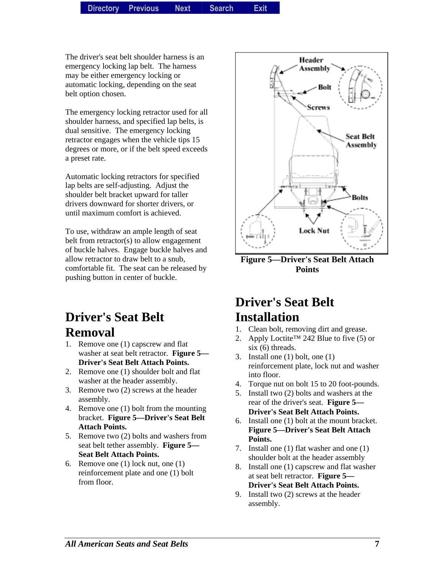The driver's seat belt shoulder harness is an emergency locking lap belt. The harness may be either emergency locking or automatic locking, depending on the seat belt option chosen.

The emergency locking retractor used for all shoulder harness, and specified lap belts, is dual sensitive. The emergency locking retractor engages when the vehicle tips 15 degrees or more, or if the belt speed exceeds a preset rate.

Automatic locking retractors for specified lap belts are self-adjusting. Adjust the shoulder belt bracket upward for taller drivers downward for shorter drivers, or until maximum comfort is achieved.

To use, withdraw an ample length of seat belt from retractor(s) to allow engagement of buckle halves. Engage buckle halves and allow retractor to draw belt to a snub, comfortable fit. The seat can be released by pushing button in center of buckle.

# **Driver's Seat Belt Removal**

- 1. Remove one (1) capscrew and flat washer at seat belt retractor. **Figure 5— Driver's Seat Belt Attach Points.**
- 2. Remove one (1) shoulder bolt and flat washer at the header assembly.
- 3. Remove two (2) screws at the header assembly.
- 4. Remove one (1) bolt from the mounting bracket. **Figure 5—Driver's Seat Belt Attach Points.**
- 5. Remove two (2) bolts and washers from seat belt tether assembly. **Figure 5— Seat Belt Attach Points.**
- 6. Remove one (1) lock nut, one (1) reinforcement plate and one (1) bolt from floor.



**Figure 5—Driver's Seat Belt Attach Points** 

#### **Driver's Seat Belt Installation**

- 1. Clean bolt, removing dirt and grease.
- 2. Apply Loctite™ 242 Blue to five (5) or six (6) threads.
- 3. Install one (1) bolt, one (1) reinforcement plate, lock nut and washer into floor.
- 4. Torque nut on bolt 15 to 20 foot-pounds.
- 5. Install two (2) bolts and washers at the rear of the driver's seat. **Figure 5— Driver's Seat Belt Attach Points.**
- 6. Install one (1) bolt at the mount bracket. **Figure 5—Driver's Seat Belt Attach Points.**
- 7. Install one (1) flat washer and one (1) shoulder bolt at the header assembly
- 8. Install one (1) capscrew and flat washer at seat belt retractor. **Figure 5— Driver's Seat Belt Attach Points.**
- 9. Install two (2) screws at the header assembly.